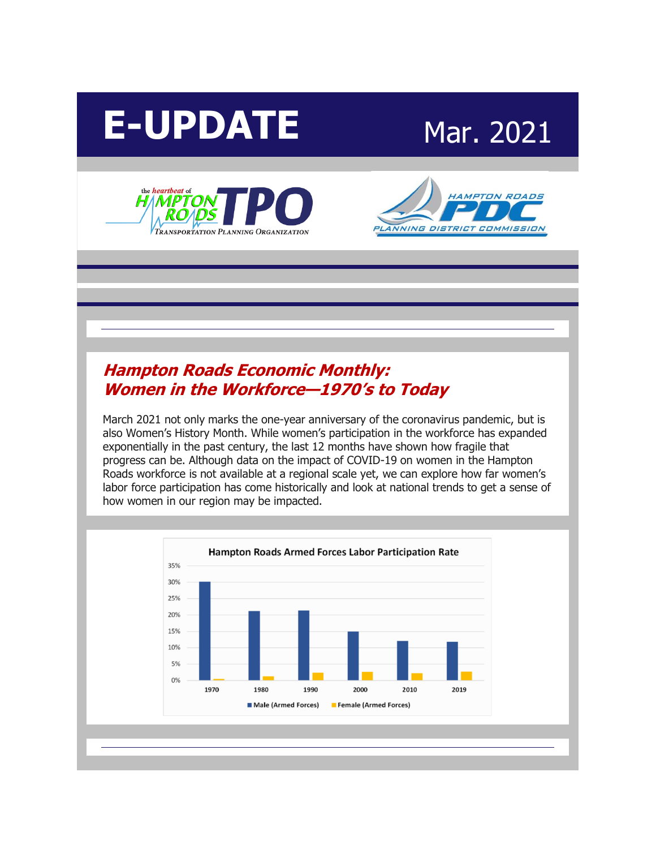







## **[Hampton Roads Economic Monthly:](http://r20.rs6.net/tn.jsp?f=001YOy-Mh3IH4cXYnAk4WHLPykWhzxWh0f6dg-TqnE7j-PXFHekbGrtKJrDkxC-EAzxOczR260CncIUWHrQM5lLsZeI_Mg9fEAItGq-PoKIAD2121QfiXCb1QcaCEma8PWucjfnnJbw7gjRnOESxYF33-tbOfuoN1qxooP-1zdsL0b846dCTol8eq_ZKw0DdIHd4RQEEXYSpao=&c=9GQ_WQEO3XJ9GPreaoQqc35MJORsvP2_TFEajpN9qLspE5118wJ08w==&ch=slCVTKGDEvgqLbc3K-rgkSXLd68naXiy95TgkJBeIo_o_l6MoMKHrg==)  [Women in the Workforce](http://r20.rs6.net/tn.jsp?f=001YOy-Mh3IH4cXYnAk4WHLPykWhzxWh0f6dg-TqnE7j-PXFHekbGrtKJrDkxC-EAzxOczR260CncIUWHrQM5lLsZeI_Mg9fEAItGq-PoKIAD2121QfiXCb1QcaCEma8PWucjfnnJbw7gjRnOESxYF33-tbOfuoN1qxooP-1zdsL0b846dCTol8eq_ZKw0DdIHd4RQEEXYSpao=&c=9GQ_WQEO3XJ9GPreaoQqc35MJORsvP2_TFEajpN9qLspE5118wJ08w==&ch=slCVTKGDEvgqLbc3K-rgkSXLd68naXiy95TgkJBeIo_o_l6MoMKHrg==)—1970's to Today**

March 2021 not only marks the one-year anniversary of the coronavirus pandemic, but is also Women's History Month. While women's participation in the workforce has expanded exponentially in the past century, the last 12 months have shown how fragile that progress can be. Although data on the impact of COVID-19 on women in the Hampton Roads workforce is not available at a regional scale yet, we can explore how far women's labor force participation has come historically and look at national trends to get a sense of how women in our region may be impacted.

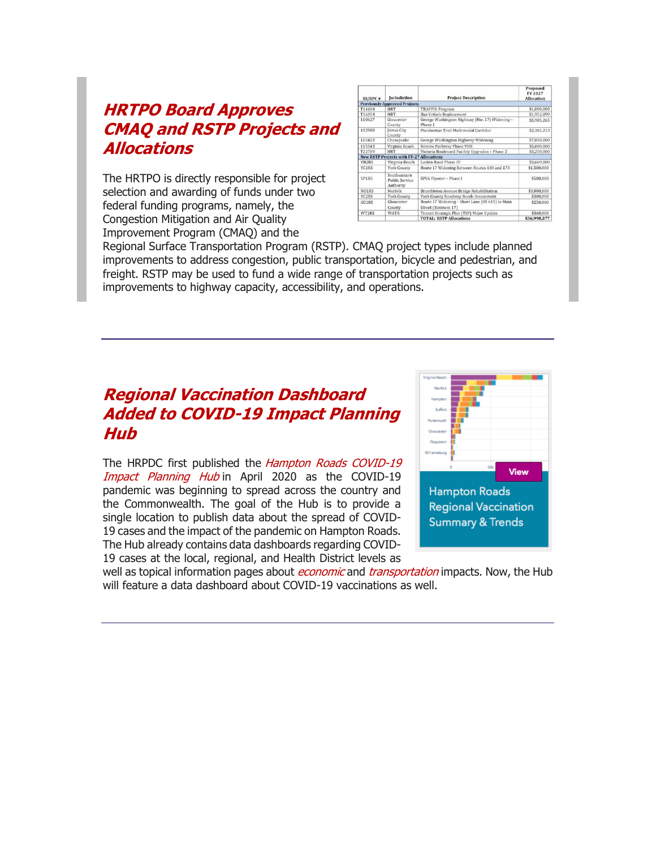#### **[HRTPO Board Approves](http://r20.rs6.net/tn.jsp?f=001YOy-Mh3IH4cXYnAk4WHLPykWhzxWh0f6dg-TqnE7j-PXFHekbGrtKJrDkxC-EAzxQp0jvdvHaVku9zRvKWYXIYOsvFS1Byai8P5XFjCl_U6HEZ21IgQZ0-1t5BHfdQ_ZwUz8MSjgrKm0ynfmeAjVF1xjBIT7XsWg4bv-Zsq2ScuAkYXORPtTqdMPsa8t_ra12bkdfPXkKZ3Q-bXPKhJIP0rsYKOjyvbtXTzm-kX2GLfannzUDLmPqZ5lqYwX5EcQDhHQG5yztRVfqx_rKJkaZA==&c=9GQ_WQEO3XJ9GPreaoQqc35MJORsvP2_TFEajpN9qLspE5118wJ08w==&ch=slCVTKGDEvgqLbc3K-rgkSXLd68naXiy95TgkJBeIo_o_l6MoMKHrg==)  [CMAQ and RSTP Projects and](http://r20.rs6.net/tn.jsp?f=001YOy-Mh3IH4cXYnAk4WHLPykWhzxWh0f6dg-TqnE7j-PXFHekbGrtKJrDkxC-EAzxQp0jvdvHaVku9zRvKWYXIYOsvFS1Byai8P5XFjCl_U6HEZ21IgQZ0-1t5BHfdQ_ZwUz8MSjgrKm0ynfmeAjVF1xjBIT7XsWg4bv-Zsq2ScuAkYXORPtTqdMPsa8t_ra12bkdfPXkKZ3Q-bXPKhJIP0rsYKOjyvbtXTzm-kX2GLfannzUDLmPqZ5lqYwX5EcQDhHQG5yztRVfqx_rKJkaZA==&c=9GQ_WQEO3XJ9GPreaoQqc35MJORsvP2_TFEajpN9qLspE5118wJ08w==&ch=slCVTKGDEvgqLbc3K-rgkSXLd68naXiy95TgkJBeIo_o_l6MoMKHrg==)  [Allocations](http://r20.rs6.net/tn.jsp?f=001YOy-Mh3IH4cXYnAk4WHLPykWhzxWh0f6dg-TqnE7j-PXFHekbGrtKJrDkxC-EAzxQp0jvdvHaVku9zRvKWYXIYOsvFS1Byai8P5XFjCl_U6HEZ21IgQZ0-1t5BHfdQ_ZwUz8MSjgrKm0ynfmeAjVF1xjBIT7XsWg4bv-Zsq2ScuAkYXORPtTqdMPsa8t_ra12bkdfPXkKZ3Q-bXPKhJIP0rsYKOjyvbtXTzm-kX2GLfannzUDLmPqZ5lqYwX5EcQDhHQG5yztRVfqx_rKJkaZA==&c=9GQ_WQEO3XJ9GPreaoQqc35MJORsvP2_TFEajpN9qLspE5118wJ08w==&ch=slCVTKGDEvgqLbc3K-rgkSXLd68naXiy95TgkJBeIo_o_l6MoMKHrg==)**

The HRTPO is directly responsible for project selection and awarding of funds under two federal funding programs, namely, the Congestion Mitigation and Air Quality Improvement Program (CMAQ) and the

| ID/UPC#      | <b>Iurisdiction</b>                                | <b>Project Description</b>                                              | Proposed<br>FY 2027<br><b>Allocation</b> |
|--------------|----------------------------------------------------|-------------------------------------------------------------------------|------------------------------------------|
|              | <b>Previously Approved Projects</b>                |                                                                         |                                          |
| T14104       | <b>HRT</b>                                         | <b>TRAFFIX Program</b>                                                  | \$1,000,000                              |
| T16054       | <b>HRT</b>                                         | <b>Bus Vehicle Replacement</b>                                          | \$1,952,899                              |
| 110627       | Gloucester<br>County                               | George Washington Highway (Rte. 17) Widening -<br>Phase 1               | \$5,985,265                              |
| 102980       | James City<br>County                               | Pocahontas Trail Multimodal Corridor                                    | \$2,381,213                              |
| 115423       | Chesapeake                                         | George Washington Highway Widening                                      | \$7,850,000                              |
| 115543       | Virginia Beach                                     | Nimmo Parkway Phase VIIB                                                | \$5,000,000                              |
| T22709       | <b>HRT</b>                                         | Victoria Boulevard Facility Upgrades - Phase 2                          | \$3,250,000                              |
|              | <b>New RSTP Projects with FY-27 Allocations</b>    |                                                                         |                                          |
| <b>VB2RS</b> | Virginia Beach                                     | Laskin Road Phase III                                                   | \$3,669,000                              |
| YC1RS        | York County                                        | Route 17 Widening Between Routes 630 and 173                            | \$1,500,000                              |
| SP1RS        | Southeastern<br><b>Public Service</b><br>Authority | SPSA Flyover - Phase I                                                  | \$500,000                                |
| NO1RS        | Norfolk                                            | Brambleton Avenue Bridge Rehabilitation                                 | \$3,000,000                              |
| <b>YC2RS</b> | <b>York County</b>                                 | York County Roadway Needs Assessment                                    | \$300,000                                |
| GC1RS        | Gloucester<br>County                               | Route 17 Widening - Short Lane (SR 615) to Main<br>Street (Business 17) | \$250,000                                |
| WT1RS        | <b>WATA</b>                                        | Transit Strategic Plan (TSP) Major Update                               | \$360,000                                |
|              |                                                    | <b>TOTAL: RSTP Allocations</b>                                          | \$36,998,377                             |

Regional Surface Transportation Program (RSTP). CMAQ project types include planned improvements to address congestion, public transportation, bicycle and pedestrian, and freight. RSTP may be used to fund a wide range of transportation projects such as improvements to highway capacity, accessibility, and operations.

## **[Regional Vaccination Dashboard](http://r20.rs6.net/tn.jsp?f=001YOy-Mh3IH4cXYnAk4WHLPykWhzxWh0f6dg-TqnE7j-PXFHekbGrtKJrDkxC-EAzxiFxP-hyrf_pDMJoXiKILW1io-2rDkf4ASqZpOzOHFg4cEA-6tNpMGdA8KJuSZoAncoaayDAQnCKa5yRMg9iwC33_WEQgo4uEC9fkOT8rND7TduTOoWPO2pxByO8ac1T-Pk_LCt1P8WB8WHVdKiGgErK79EGP17K93l0Lt9qcdS9wR7i52m3oJBf9wgRPvQDpc1oo52koGloME4acyqYi4_XjszPfcd7F&c=9GQ_WQEO3XJ9GPreaoQqc35MJORsvP2_TFEajpN9qLspE5118wJ08w==&ch=slCVTKGDEvgqLbc3K-rgkSXLd68naXiy95TgkJBeIo_o_l6MoMKHrg==)  [Added to COVID-19 Impact Planning](http://r20.rs6.net/tn.jsp?f=001YOy-Mh3IH4cXYnAk4WHLPykWhzxWh0f6dg-TqnE7j-PXFHekbGrtKJrDkxC-EAzxiFxP-hyrf_pDMJoXiKILW1io-2rDkf4ASqZpOzOHFg4cEA-6tNpMGdA8KJuSZoAncoaayDAQnCKa5yRMg9iwC33_WEQgo4uEC9fkOT8rND7TduTOoWPO2pxByO8ac1T-Pk_LCt1P8WB8WHVdKiGgErK79EGP17K93l0Lt9qcdS9wR7i52m3oJBf9wgRPvQDpc1oo52koGloME4acyqYi4_XjszPfcd7F&c=9GQ_WQEO3XJ9GPreaoQqc35MJORsvP2_TFEajpN9qLspE5118wJ08w==&ch=slCVTKGDEvgqLbc3K-rgkSXLd68naXiy95TgkJBeIo_o_l6MoMKHrg==)  [Hub](http://r20.rs6.net/tn.jsp?f=001YOy-Mh3IH4cXYnAk4WHLPykWhzxWh0f6dg-TqnE7j-PXFHekbGrtKJrDkxC-EAzxiFxP-hyrf_pDMJoXiKILW1io-2rDkf4ASqZpOzOHFg4cEA-6tNpMGdA8KJuSZoAncoaayDAQnCKa5yRMg9iwC33_WEQgo4uEC9fkOT8rND7TduTOoWPO2pxByO8ac1T-Pk_LCt1P8WB8WHVdKiGgErK79EGP17K93l0Lt9qcdS9wR7i52m3oJBf9wgRPvQDpc1oo52koGloME4acyqYi4_XjszPfcd7F&c=9GQ_WQEO3XJ9GPreaoQqc35MJORsvP2_TFEajpN9qLspE5118wJ08w==&ch=slCVTKGDEvgqLbc3K-rgkSXLd68naXiy95TgkJBeIo_o_l6MoMKHrg==)**

The HRPDC first published the *Hampton Roads COVID-19* [Impact Planning Hub](http://r20.rs6.net/tn.jsp?f=001YOy-Mh3IH4cXYnAk4WHLPykWhzxWh0f6dg-TqnE7j-PXFHekbGrtKFGnNmTaxVny3gned0IzrHk8XyjGxh1cn2AmXfxZNS7bqPDI_yjj1aRdiIOccFDynNz5opKwlFcXyt8A8vZbEA5-W8iOLCQw1H0_A8ZYVZM2DEOpqipxPZs=&c=9GQ_WQEO3XJ9GPreaoQqc35MJORsvP2_TFEajpN9qLspE5118wJ08w==&ch=slCVTKGDEvgqLbc3K-rgkSXLd68naXiy95TgkJBeIo_o_l6MoMKHrg==) in April 2020 as the COVID-19 pandemic was beginning to spread across the country and the Commonwealth. The goal of the Hub is to provide a single location to publish data about the spread of COVID-19 cases and the impact of the pandemic on Hampton Roads. The Hub already contains data dashboards regarding COVID-19 cases at the local, regional, and Health District levels as



well as topical information pages about *[economic](http://r20.rs6.net/tn.jsp?f=001YOy-Mh3IH4cXYnAk4WHLPykWhzxWh0f6dg-TqnE7j-PXFHekbGrtKGPxc9Ad3IKG7yyp24LHBJYwTKOjxsp5SaLclwj9zofvGnoF5KY6oLhxl3Rz2gy0xSAR-IpqHyYt1xgzcM9UQ5UTIpgQUPDwJyX7CgcV9pUqyHga447kcnSx41fqTfnJMh0E7l4L0xe4HCaAY09gBeA=&c=9GQ_WQEO3XJ9GPreaoQqc35MJORsvP2_TFEajpN9qLspE5118wJ08w==&ch=slCVTKGDEvgqLbc3K-rgkSXLd68naXiy95TgkJBeIo_o_l6MoMKHrg==)* and *[transportation](http://r20.rs6.net/tn.jsp?f=001YOy-Mh3IH4cXYnAk4WHLPykWhzxWh0f6dg-TqnE7j-PXFHekbGrtKGPxc9Ad3IKGOWsDTzNxvXYeMvgCj0eGtRFSOvQVP1p4AgICgmvMSAjIcUPINLDGJRPlatXGU029HW5E6nOENTmPjh54iBMl-4KaZI89WJu6kthf1WpB7siORlZYYC845iutax2Pu8yhCM2qBHCrXxg=&c=9GQ_WQEO3XJ9GPreaoQqc35MJORsvP2_TFEajpN9qLspE5118wJ08w==&ch=slCVTKGDEvgqLbc3K-rgkSXLd68naXiy95TgkJBeIo_o_l6MoMKHrg==)* impacts. Now, the Hub will feature a data dashboard about COVID-19 vaccinations as well.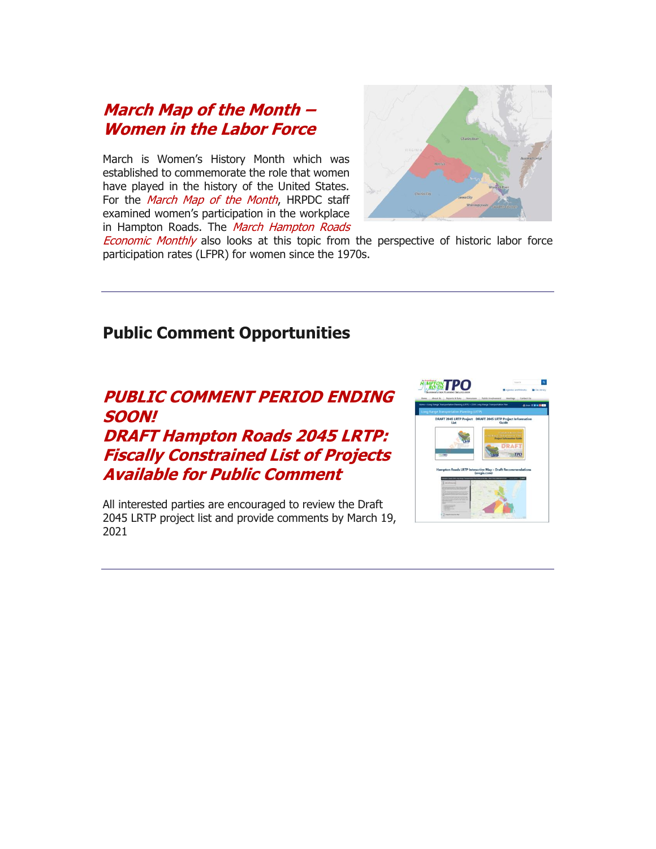#### **[March Map of the Month](http://r20.rs6.net/tn.jsp?f=001YOy-Mh3IH4cXYnAk4WHLPykWhzxWh0f6dg-TqnE7j-PXFHekbGrtKJrDkxC-EAzxsvi3sfQV1JRZ3NbDkMqCvI0ShaxPq3PMBzPMliEJyN9laXyz3sJOGLW0OQanS1gGsnwRK2CbA4TIcD4psWwWgsT8loHyXpdGbn0rMYGC3hGJ1UwHSkYDp_nq_2T3Rmo-1jyfNhkjjIt1RywB4f6nmmGkpq12wVPkaYnd8RgtovkYrslvq_-PFEINUHQKIOQwe6riPMt3-DR3m5PPXf7ySIz6zY2kxvhi&c=9GQ_WQEO3XJ9GPreaoQqc35MJORsvP2_TFEajpN9qLspE5118wJ08w==&ch=slCVTKGDEvgqLbc3K-rgkSXLd68naXiy95TgkJBeIo_o_l6MoMKHrg==) – [Women in the Labor Force](http://r20.rs6.net/tn.jsp?f=001YOy-Mh3IH4cXYnAk4WHLPykWhzxWh0f6dg-TqnE7j-PXFHekbGrtKJrDkxC-EAzxsvi3sfQV1JRZ3NbDkMqCvI0ShaxPq3PMBzPMliEJyN9laXyz3sJOGLW0OQanS1gGsnwRK2CbA4TIcD4psWwWgsT8loHyXpdGbn0rMYGC3hGJ1UwHSkYDp_nq_2T3Rmo-1jyfNhkjjIt1RywB4f6nmmGkpq12wVPkaYnd8RgtovkYrslvq_-PFEINUHQKIOQwe6riPMt3-DR3m5PPXf7ySIz6zY2kxvhi&c=9GQ_WQEO3XJ9GPreaoQqc35MJORsvP2_TFEajpN9qLspE5118wJ08w==&ch=slCVTKGDEvgqLbc3K-rgkSXLd68naXiy95TgkJBeIo_o_l6MoMKHrg==)**

March is Women's History Month which was established to commemorate the role that women have played in the history of the United States. For the [March Map of the Month](http://r20.rs6.net/tn.jsp?f=001YOy-Mh3IH4cXYnAk4WHLPykWhzxWh0f6dg-TqnE7j-PXFHekbGrtKJrDkxC-EAzx5ANbNmsCZmrKBFHtXNG3fRhDQCNhtY2Au6O40DD-wU8_Zjkel4RhHNExNNYlhblDJb6ur9ozSYy7cOsg3z_KQna0GB08e2aVMWDHrBSZpj4TRHM5ASNGfU9e9oxyAhJ-0guNvbbY5U1fS8jIbMmXinTeMA_Soxf2mkn34vCdeHirBhkB6is-kPeZaJWHnEiNgggI9QV0jgA=&c=9GQ_WQEO3XJ9GPreaoQqc35MJORsvP2_TFEajpN9qLspE5118wJ08w==&ch=slCVTKGDEvgqLbc3K-rgkSXLd68naXiy95TgkJBeIo_o_l6MoMKHrg==), HRPDC staff examined women's participation in the workplace in Hampton Roads. The March Hampton Roads



**[Economic Monthly](http://r20.rs6.net/tn.jsp?f=001YOy-Mh3IH4cXYnAk4WHLPykWhzxWh0f6dg-TqnE7j-PXFHekbGrtKD7Xde5oGRie_LwrEEFZG_NroiRdaXsOPqpDtGxHcinoZMOP73jA0iRjhRUJJzwRPo_CgFn7Q_XbTbwes33yT8a0q9rN5bHZL8x5mooeBLMkCgyNAE4Q-PYaX0VEfylPkKFkHWgU1EckWA4JXiKq4X1QUFwVFkiKgLnJwIGwkqIn&c=9GQ_WQEO3XJ9GPreaoQqc35MJORsvP2_TFEajpN9qLspE5118wJ08w==&ch=slCVTKGDEvgqLbc3K-rgkSXLd68naXiy95TgkJBeIo_o_l6MoMKHrg==)** also looks at this topic from the perspective of historic labor force participation rates (LFPR) for women since the 1970s.

#### **Public Comment Opportunities**

# **[PUBLIC COMMENT PERIOD ENDING](http://r20.rs6.net/tn.jsp?f=001YOy-Mh3IH4cXYnAk4WHLPykWhzxWh0f6dg-TqnE7j-PXFHekbGrtKJrDkxC-EAzx8lZ9Z0cYSlAfvk6IW7NsJnlvrLyiKeD33BtG2ULY34G_WaE_sq6J6Fdcs9mgm_gBm14xbH357kLBm8t2MT1a8rstcAn1abxtejVJGPWfcuUiar8ctEw3-rASdWRhYSHho3fbRvJYKFulV7FhobMymjUy_XHAYEgZgRkmF0Sxk2Uw39fV3xFtOQD59y0sCq1qzCkaNNkHyLzPXjxFh8SqjVBHfo-53BLCZjrcGNP7LZM89z8_HNoEghIgtt69BLVNwmzZG6gvxf4=&c=9GQ_WQEO3XJ9GPreaoQqc35MJORsvP2_TFEajpN9qLspE5118wJ08w==&ch=slCVTKGDEvgqLbc3K-rgkSXLd68naXiy95TgkJBeIo_o_l6MoMKHrg==)  [SOON!](http://r20.rs6.net/tn.jsp?f=001YOy-Mh3IH4cXYnAk4WHLPykWhzxWh0f6dg-TqnE7j-PXFHekbGrtKJrDkxC-EAzx8lZ9Z0cYSlAfvk6IW7NsJnlvrLyiKeD33BtG2ULY34G_WaE_sq6J6Fdcs9mgm_gBm14xbH357kLBm8t2MT1a8rstcAn1abxtejVJGPWfcuUiar8ctEw3-rASdWRhYSHho3fbRvJYKFulV7FhobMymjUy_XHAYEgZgRkmF0Sxk2Uw39fV3xFtOQD59y0sCq1qzCkaNNkHyLzPXjxFh8SqjVBHfo-53BLCZjrcGNP7LZM89z8_HNoEghIgtt69BLVNwmzZG6gvxf4=&c=9GQ_WQEO3XJ9GPreaoQqc35MJORsvP2_TFEajpN9qLspE5118wJ08w==&ch=slCVTKGDEvgqLbc3K-rgkSXLd68naXiy95TgkJBeIo_o_l6MoMKHrg==) [DRAFT Hampton Roads 2045 LRTP:](http://r20.rs6.net/tn.jsp?f=001YOy-Mh3IH4cXYnAk4WHLPykWhzxWh0f6dg-TqnE7j-PXFHekbGrtKJrDkxC-EAzx8lZ9Z0cYSlAfvk6IW7NsJnlvrLyiKeD33BtG2ULY34G_WaE_sq6J6Fdcs9mgm_gBm14xbH357kLBm8t2MT1a8rstcAn1abxtejVJGPWfcuUiar8ctEw3-rASdWRhYSHho3fbRvJYKFulV7FhobMymjUy_XHAYEgZgRkmF0Sxk2Uw39fV3xFtOQD59y0sCq1qzCkaNNkHyLzPXjxFh8SqjVBHfo-53BLCZjrcGNP7LZM89z8_HNoEghIgtt69BLVNwmzZG6gvxf4=&c=9GQ_WQEO3XJ9GPreaoQqc35MJORsvP2_TFEajpN9qLspE5118wJ08w==&ch=slCVTKGDEvgqLbc3K-rgkSXLd68naXiy95TgkJBeIo_o_l6MoMKHrg==)  [Fiscally Constrained List of Projects](http://r20.rs6.net/tn.jsp?f=001YOy-Mh3IH4cXYnAk4WHLPykWhzxWh0f6dg-TqnE7j-PXFHekbGrtKJrDkxC-EAzx8lZ9Z0cYSlAfvk6IW7NsJnlvrLyiKeD33BtG2ULY34G_WaE_sq6J6Fdcs9mgm_gBm14xbH357kLBm8t2MT1a8rstcAn1abxtejVJGPWfcuUiar8ctEw3-rASdWRhYSHho3fbRvJYKFulV7FhobMymjUy_XHAYEgZgRkmF0Sxk2Uw39fV3xFtOQD59y0sCq1qzCkaNNkHyLzPXjxFh8SqjVBHfo-53BLCZjrcGNP7LZM89z8_HNoEghIgtt69BLVNwmzZG6gvxf4=&c=9GQ_WQEO3XJ9GPreaoQqc35MJORsvP2_TFEajpN9qLspE5118wJ08w==&ch=slCVTKGDEvgqLbc3K-rgkSXLd68naXiy95TgkJBeIo_o_l6MoMKHrg==)  [Available for Public Comment](http://r20.rs6.net/tn.jsp?f=001YOy-Mh3IH4cXYnAk4WHLPykWhzxWh0f6dg-TqnE7j-PXFHekbGrtKJrDkxC-EAzx8lZ9Z0cYSlAfvk6IW7NsJnlvrLyiKeD33BtG2ULY34G_WaE_sq6J6Fdcs9mgm_gBm14xbH357kLBm8t2MT1a8rstcAn1abxtejVJGPWfcuUiar8ctEw3-rASdWRhYSHho3fbRvJYKFulV7FhobMymjUy_XHAYEgZgRkmF0Sxk2Uw39fV3xFtOQD59y0sCq1qzCkaNNkHyLzPXjxFh8SqjVBHfo-53BLCZjrcGNP7LZM89z8_HNoEghIgtt69BLVNwmzZG6gvxf4=&c=9GQ_WQEO3XJ9GPreaoQqc35MJORsvP2_TFEajpN9qLspE5118wJ08w==&ch=slCVTKGDEvgqLbc3K-rgkSXLd68naXiy95TgkJBeIo_o_l6MoMKHrg==)**

All interested parties are encouraged to review the Draft 2045 LRTP project list and provide comments by March 19, 2021

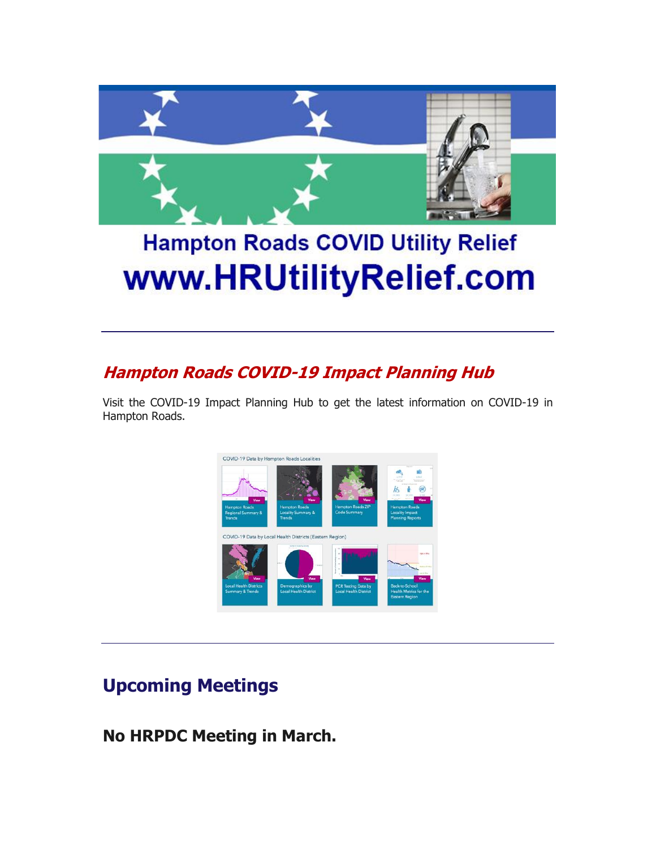

# **Hampton Roads COVID Utility Relief** www.HRUtilityRelief.com

# **[Hampton Roads COVID-19 Impact Planning Hub](http://r20.rs6.net/tn.jsp?f=001YOy-Mh3IH4cXYnAk4WHLPykWhzxWh0f6dg-TqnE7j-PXFHekbGrtKFGnNmTaxVny3gned0IzrHk8XyjGxh1cn2AmXfxZNS7bqPDI_yjj1aRdiIOccFDynNz5opKwlFcXyt8A8vZbEA5-W8iOLCQw1H0_A8ZYVZM2DEOpqipxPZs=&c=9GQ_WQEO3XJ9GPreaoQqc35MJORsvP2_TFEajpN9qLspE5118wJ08w==&ch=slCVTKGDEvgqLbc3K-rgkSXLd68naXiy95TgkJBeIo_o_l6MoMKHrg==)**

Visit the COVID-19 Impact Planning Hub to get the latest information on COVID-19 in Hampton Roads.



# **Upcoming Meetings**

**No HRPDC Meeting in March.**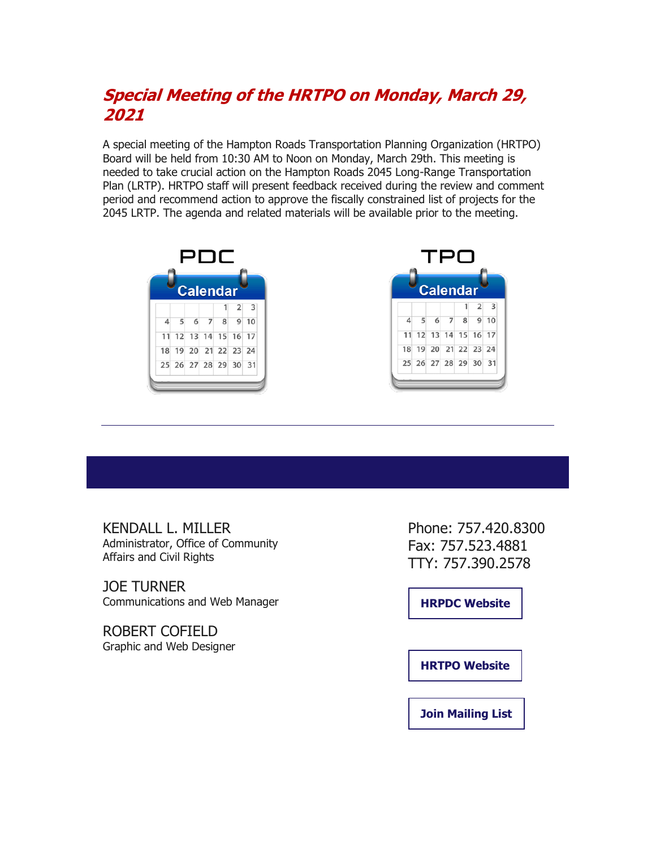# **[Special Meeting of the HRTPO on Monday, March 29,](http://r20.rs6.net/tn.jsp?f=001YOy-Mh3IH4cXYnAk4WHLPykWhzxWh0f6dg-TqnE7j-PXFHekbGrtKJrDkxC-EAzxZpu3c3R6CZN1FhedzrrX-8VJE12cP5Ped4QJNjidiQcyjouyIbIN75S_RZsLQQhtTifabuMvD81HWjZJSlTaphB1hI29Esm6_0rMeyzoxiVTRc9_7hFAM-qioVSMwdTKkA5mJDr5bVutJV_ClIODUA==&c=9GQ_WQEO3XJ9GPreaoQqc35MJORsvP2_TFEajpN9qLspE5118wJ08w==&ch=slCVTKGDEvgqLbc3K-rgkSXLd68naXiy95TgkJBeIo_o_l6MoMKHrg==)  [2021](http://r20.rs6.net/tn.jsp?f=001YOy-Mh3IH4cXYnAk4WHLPykWhzxWh0f6dg-TqnE7j-PXFHekbGrtKJrDkxC-EAzxZpu3c3R6CZN1FhedzrrX-8VJE12cP5Ped4QJNjidiQcyjouyIbIN75S_RZsLQQhtTifabuMvD81HWjZJSlTaphB1hI29Esm6_0rMeyzoxiVTRc9_7hFAM-qioVSMwdTKkA5mJDr5bVutJV_ClIODUA==&c=9GQ_WQEO3XJ9GPreaoQqc35MJORsvP2_TFEajpN9qLspE5118wJ08w==&ch=slCVTKGDEvgqLbc3K-rgkSXLd68naXiy95TgkJBeIo_o_l6MoMKHrg==)**

A special meeting of the Hampton Roads Transportation Planning Organization (HRTPO) Board will be held from 10:30 AM to Noon on Monday, March 29th. This meeting is needed to take crucial action on the Hampton Roads 2045 Long-Range Transportation Plan (LRTP). HRTPO staff will present feedback received during the review and comment period and recommend action to approve the fiscally constrained list of projects for the 2045 LRTP. The agenda and related materials will be available prior to the meeting.





KENDALL L. MILLER Administrator, Office of Community Affairs and Civil Rights

JOE TURNER Communications and Web Manager

ROBERT COFIELD Graphic and Web Designer

Phone: 757.420.8300 Fax: 757.523.4881 TTY: 757.390.2578

**[HRPDC Website](http://r20.rs6.net/tn.jsp?f=001YOy-Mh3IH4cXYnAk4WHLPykWhzxWh0f6dg-TqnE7j-PXFHekbGrtKGCmXEm1DWDaj-iSoIVAbzlQeBqu4ZnAB3yvS6dmHRiFZf292ML5ndpjiVWb4pCGlSTL7_Sfdp_8ZbrVh0IYcD4TGHPIimDMZw==&c=9GQ_WQEO3XJ9GPreaoQqc35MJORsvP2_TFEajpN9qLspE5118wJ08w==&ch=slCVTKGDEvgqLbc3K-rgkSXLd68naXiy95TgkJBeIo_o_l6MoMKHrg==)**

**[HRTPO Website](http://r20.rs6.net/tn.jsp?f=001YOy-Mh3IH4cXYnAk4WHLPykWhzxWh0f6dg-TqnE7j-PXFHekbGrtKGCmXEm1DWDa_wHrHw1xc8b-2v99bmuzrs0PQ9TzrK-JIUVjeYoesJtjtZIoC_vbiYwOyc6xiCuts1yTCFAaG7Y=&c=9GQ_WQEO3XJ9GPreaoQqc35MJORsvP2_TFEajpN9qLspE5118wJ08w==&ch=slCVTKGDEvgqLbc3K-rgkSXLd68naXiy95TgkJBeIo_o_l6MoMKHrg==)**

**[Join Mailing List](http://r20.rs6.net/tn.jsp?f=001YOy-Mh3IH4cXYnAk4WHLPykWhzxWh0f6dg-TqnE7j-PXFHekbGrtKGCmXEm1DWDagJA_mTxGyqdGBk2710JHtOlg_e_L-jVSlZPHkjhsCR4XQphAnywrU1c22bwOcq6BILXFLwsSgihLg8Fv48MMMQJyrTGkggDmECgk6noiJyn1VIfrJoNaEkRnqUrKVgwTvY8Xs7yNCdpz4EJSSClc5z6A26Z4dukQ6bvU0n7TRtqEE1qCxhnmS_SHpOoGNdthHe8iJDNbt3rkcn0YVR4dWatLErdrGgB37ZvVhvK7TskHMU6o8tHschl1uxYc9Bjq&c=9GQ_WQEO3XJ9GPreaoQqc35MJORsvP2_TFEajpN9qLspE5118wJ08w==&ch=slCVTKGDEvgqLbc3K-rgkSXLd68naXiy95TgkJBeIo_o_l6MoMKHrg==)**